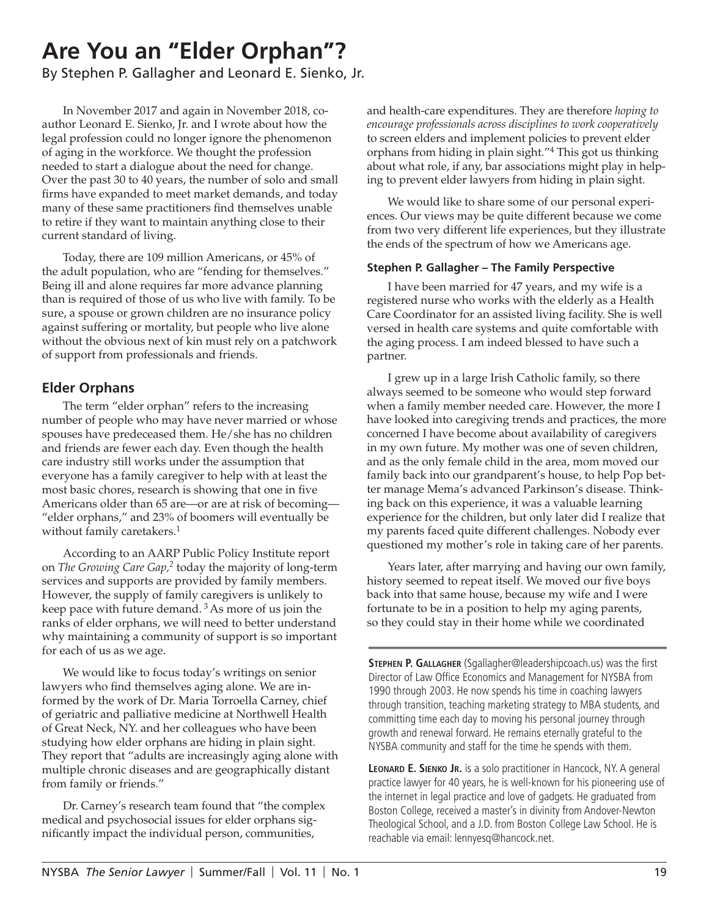# **Are You an "Elder Orphan"?**

By Stephen P. Gallagher and Leonard E. Sienko, Jr.

In November 2017 and again in November 2018, coauthor Leonard E. Sienko, Jr. and I wrote about how the legal profession could no longer ignore the phenomenon of aging in the workforce. We thought the profession needed to start a dialogue about the need for change. Over the past 30 to 40 years, the number of solo and small firms have expanded to meet market demands, and today many of these same practitioners find themselves unable to retire if they want to maintain anything close to their current standard of living.

Today, there are 109 million Americans, or 45% of the adult population, who are "fending for themselves." Being ill and alone requires far more advance planning than is required of those of us who live with family. To be sure, a spouse or grown children are no insurance policy against suffering or mortality, but people who live alone without the obvious next of kin must rely on a patchwork of support from professionals and friends.

## **Elder Orphans**

The term "elder orphan" refers to the increasing number of people who may have never married or whose spouses have predeceased them. He/she has no children and friends are fewer each day. Even though the health care industry still works under the assumption that everyone has a family caregiver to help with at least the most basic chores, research is showing that one in five Americans older than 65 are—or are at risk of becoming— "elder orphans," and 23% of boomers will eventually be without family caretakers.<sup>1</sup>

According to an AARP Public Policy Institute report on *The Growing Care Gap,2* today the majority of long-term services and supports are provided by family members. However, the supply of family caregivers is unlikely to keep pace with future demand.  $3$  As more of us join the ranks of elder orphans, we will need to better understand why maintaining a community of support is so important for each of us as we age.

We would like to focus today's writings on senior lawyers who find themselves aging alone. We are informed by the work of Dr. Maria Torroella Carney, chief of geriatric and palliative medicine at Northwell Health of Great Neck, NY. and her colleagues who have been studying how elder orphans are hiding in plain sight. They report that "adults are increasingly aging alone with multiple chronic diseases and are geographically distant from family or friends."

Dr. Carney's research team found that "the complex medical and psychosocial issues for elder orphans significantly impact the individual person, communities,

and health-care expenditures. They are therefore *hoping to encourage professionals across disciplines to work cooperatively* to screen elders and implement policies to prevent elder orphans from hiding in plain sight."4 This got us thinking about what role, if any, bar associations might play in helping to prevent elder lawyers from hiding in plain sight.

We would like to share some of our personal experiences. Our views may be quite different because we come from two very different life experiences, but they illustrate the ends of the spectrum of how we Americans age.

#### **Stephen P. Gallagher – The Family Perspective**

I have been married for 47 years, and my wife is a registered nurse who works with the elderly as a Health Care Coordinator for an assisted living facility. She is well versed in health care systems and quite comfortable with the aging process. I am indeed blessed to have such a partner.

I grew up in a large Irish Catholic family, so there always seemed to be someone who would step forward when a family member needed care. However, the more I have looked into caregiving trends and practices, the more concerned I have become about availability of caregivers in my own future. My mother was one of seven children, and as the only female child in the area, mom moved our family back into our grandparent's house, to help Pop better manage Mema's advanced Parkinson's disease. Thinking back on this experience, it was a valuable learning experience for the children, but only later did I realize that my parents faced quite different challenges. Nobody ever questioned my mother's role in taking care of her parents.

Years later, after marrying and having our own family, history seemed to repeat itself. We moved our five boys back into that same house, because my wife and I were fortunate to be in a position to help my aging parents, so they could stay in their home while we coordinated

**Stephen P. Gallagher** (Sgallagher@leadershipcoach.us) was the first Director of Law Office Economics and Management for NYSBA from 1990 through 2003. He now spends his time in coaching lawyers through transition, teaching marketing strategy to MBA students, and committing time each day to moving his personal journey through growth and renewal forward. He remains eternally grateful to the NYSBA community and staff for the time he spends with them.

**Leonard E. Sienko Jr.** is a solo practitioner in Hancock, NY. A general practice lawyer for 40 years, he is well-known for his pioneering use of the internet in legal practice and love of gadgets. He graduated from Boston College, received a master's in divinity from Andover-Newton Theological School, and a J.D. from Boston College Law School. He is reachable via email: lennyesq@hancock.net.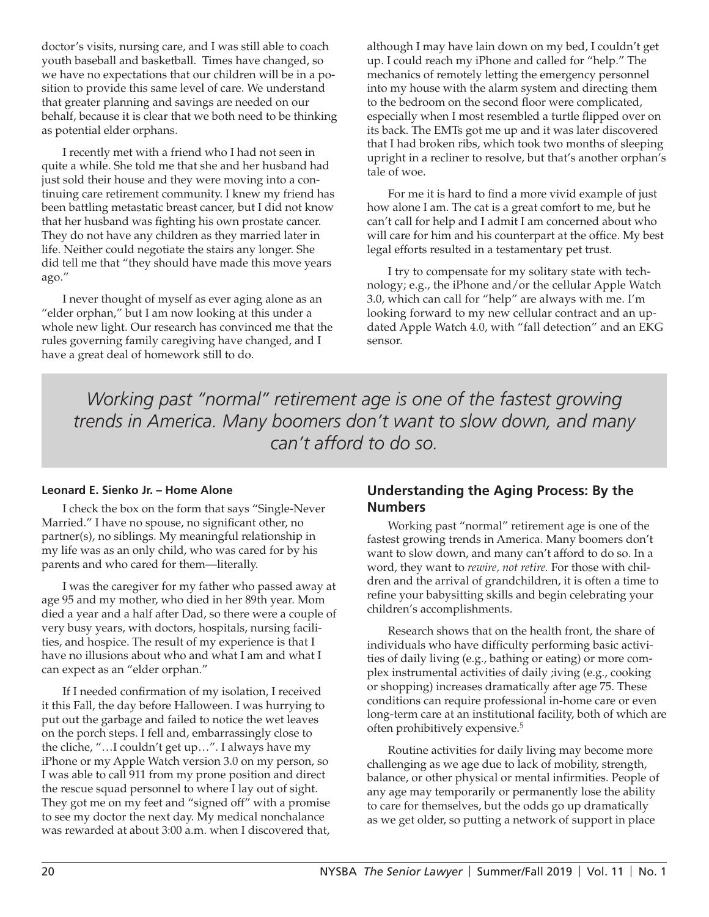doctor's visits, nursing care, and I was still able to coach youth baseball and basketball. Times have changed, so we have no expectations that our children will be in a position to provide this same level of care. We understand that greater planning and savings are needed on our behalf, because it is clear that we both need to be thinking as potential elder orphans.

I recently met with a friend who I had not seen in quite a while. She told me that she and her husband had just sold their house and they were moving into a continuing care retirement community. I knew my friend has been battling metastatic breast cancer, but I did not know that her husband was fighting his own prostate cancer. They do not have any children as they married later in life. Neither could negotiate the stairs any longer. She did tell me that "they should have made this move years ago."

I never thought of myself as ever aging alone as an "elder orphan," but I am now looking at this under a whole new light. Our research has convinced me that the rules governing family caregiving have changed, and I have a great deal of homework still to do.

although I may have lain down on my bed, I couldn't get up. I could reach my iPhone and called for "help." The mechanics of remotely letting the emergency personnel into my house with the alarm system and directing them to the bedroom on the second floor were complicated, especially when I most resembled a turtle flipped over on its back. The EMTs got me up and it was later discovered that I had broken ribs, which took two months of sleeping upright in a recliner to resolve, but that's another orphan's tale of woe.

For me it is hard to find a more vivid example of just how alone I am. The cat is a great comfort to me, but he can't call for help and I admit I am concerned about who will care for him and his counterpart at the office. My best legal efforts resulted in a testamentary pet trust.

I try to compensate for my solitary state with technology; e.g., the iPhone and/or the cellular Apple Watch 3.0, which can call for "help" are always with me. I'm looking forward to my new cellular contract and an updated Apple Watch 4.0, with "fall detection" and an EKG sensor.

*Working past "normal" retirement age is one of the fastest growing trends in America. Many boomers don't want to slow down, and many can't afford to do so.* 

#### **Leonard E. Sienko Jr. – Home Alone**

I check the box on the form that says "Single-Never Married." I have no spouse, no significant other, no partner(s), no siblings. My meaningful relationship in my life was as an only child, who was cared for by his parents and who cared for them—literally.

I was the caregiver for my father who passed away at age 95 and my mother, who died in her 89th year. Mom died a year and a half after Dad, so there were a couple of very busy years, with doctors, hospitals, nursing facilities, and hospice. The result of my experience is that I have no illusions about who and what I am and what I can expect as an "elder orphan."

If I needed confirmation of my isolation, I received it this Fall, the day before Halloween. I was hurrying to put out the garbage and failed to notice the wet leaves on the porch steps. I fell and, embarrassingly close to the cliche, "…I couldn't get up…". I always have my iPhone or my Apple Watch version 3.0 on my person, so I was able to call 911 from my prone position and direct the rescue squad personnel to where I lay out of sight. They got me on my feet and "signed off" with a promise to see my doctor the next day. My medical nonchalance was rewarded at about 3:00 a.m. when I discovered that,

## **Understanding the Aging Process: By the Numbers**

Working past "normal" retirement age is one of the fastest growing trends in America. Many boomers don't want to slow down, and many can't afford to do so. In a word, they want to *rewire, not retire.* For those with children and the arrival of grandchildren, it is often a time to refine your babysitting skills and begin celebrating your children's accomplishments.

Research shows that on the health front, the share of individuals who have difficulty performing basic activities of daily living (e.g., bathing or eating) or more complex instrumental activities of daily ;iving (e.g., cooking or shopping) increases dramatically after age 75. These conditions can require professional in-home care or even long-term care at an institutional facility, both of which are often prohibitively expensive.5

Routine activities for daily living may become more challenging as we age due to lack of mobility, strength, balance, or other physical or mental infirmities. People of any age may temporarily or permanently lose the ability to care for themselves, but the odds go up dramatically as we get older, so putting a network of support in place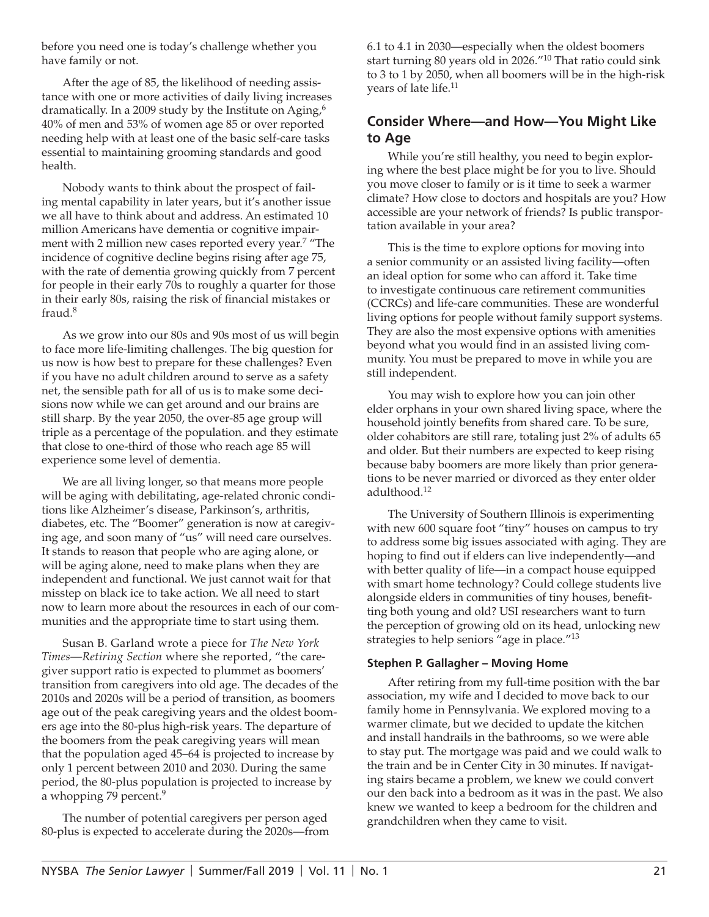before you need one is today's challenge whether you have family or not.

After the age of 85, the likelihood of needing assistance with one or more activities of daily living increases dramatically. In a 2009 study by the Institute on Aging,<sup>6</sup> 40% of men and 53% of women age 85 or over reported needing help with at least one of the basic self-care tasks essential to maintaining grooming standards and good health.

Nobody wants to think about the prospect of failing mental capability in later years, but it's another issue we all have to think about and address. An estimated 10 million Americans have dementia or cognitive impairment with 2 million new cases reported every year.<sup>7</sup> "The incidence of cognitive decline begins rising after age 75, with the rate of dementia growing quickly from 7 percent for people in their early 70s to roughly a quarter for those in their early 80s, raising the risk of financial mistakes or fraud.8

As we grow into our 80s and 90s most of us will begin to face more life-limiting challenges. The big question for us now is how best to prepare for these challenges? Even if you have no adult children around to serve as a safety net, the sensible path for all of us is to make some decisions now while we can get around and our brains are still sharp. By the year 2050, the over-85 age group will triple as a percentage of the population. and they estimate that close to one-third of those who reach age 85 will experience some level of dementia.

We are all living longer, so that means more people will be aging with debilitating, age-related chronic conditions like Alzheimer's disease, Parkinson's, arthritis, diabetes, etc. The "Boomer" generation is now at caregiving age, and soon many of "us" will need care ourselves. It stands to reason that people who are aging alone, or will be aging alone, need to make plans when they are independent and functional. We just cannot wait for that misstep on black ice to take action. We all need to start now to learn more about the resources in each of our communities and the appropriate time to start using them.

Susan B. Garland wrote a piece for *The New York Times—Retiring Section* where she reported, "the caregiver support ratio is expected to plummet as boomers' transition from caregivers into old age. The decades of the 2010s and 2020s will be a period of transition, as boomers age out of the peak caregiving years and the oldest boomers age into the 80-plus high-risk years. The departure of the boomers from the peak caregiving years will mean that the population aged 45–64 is projected to increase by only 1 percent between 2010 and 2030. During the same period, the 80-plus population is projected to increase by a whopping 79 percent.<sup>9</sup>

The number of potential caregivers per person aged 80-plus is expected to accelerate during the 2020s—from 6.1 to 4.1 in 2030—especially when the oldest boomers start turning 80 years old in 2026."10 That ratio could sink to 3 to 1 by 2050, when all boomers will be in the high-risk years of late life.<sup>11</sup>

## **Consider Where—and How—You Might Like to Age**

While you're still healthy, you need to begin exploring where the best place might be for you to live. Should you move closer to family or is it time to seek a warmer climate? How close to doctors and hospitals are you? How accessible are your network of friends? Is public transportation available in your area?

This is the time to explore options for moving into a senior community or an assisted living facility—often an ideal option for some who can afford it. Take time to investigate continuous care retirement communities (CCRCs) and life-care communities. These are wonderful living options for people without family support systems. They are also the most expensive options with amenities beyond what you would find in an assisted living community. You must be prepared to move in while you are still independent.

You may wish to explore how you can join other elder orphans in your own shared living space, where the household jointly benefits from shared care. To be sure, older cohabitors are still rare, totaling just 2% of adults 65 and older. But their numbers are expected to keep rising because baby boomers are more likely than prior generations to be never married or divorced as they enter older adulthood.12

The University of Southern Illinois is experimenting with new 600 square foot "tiny" houses on campus to try to address some big issues associated with aging. They are hoping to find out if elders can live independently—and with better quality of life—in a compact house equipped with smart home technology? Could college students live alongside elders in communities of tiny houses, benefitting both young and old? USI researchers want to turn the perception of growing old on its head, unlocking new strategies to help seniors "age in place."<sup>13</sup>

#### **Stephen P. Gallagher – Moving Home**

After retiring from my full-time position with the bar association, my wife and I decided to move back to our family home in Pennsylvania. We explored moving to a warmer climate, but we decided to update the kitchen and install handrails in the bathrooms, so we were able to stay put. The mortgage was paid and we could walk to the train and be in Center City in 30 minutes. If navigating stairs became a problem, we knew we could convert our den back into a bedroom as it was in the past. We also knew we wanted to keep a bedroom for the children and grandchildren when they came to visit.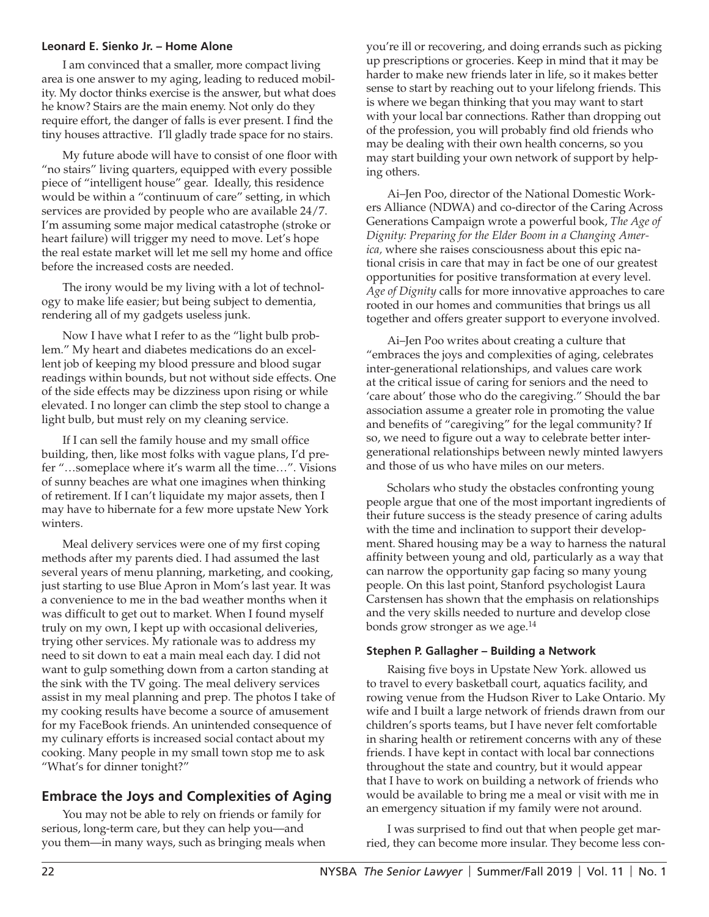#### **Leonard E. Sienko Jr. – Home Alone**

I am convinced that a smaller, more compact living area is one answer to my aging, leading to reduced mobility. My doctor thinks exercise is the answer, but what does he know? Stairs are the main enemy. Not only do they require effort, the danger of falls is ever present. I find the tiny houses attractive. I'll gladly trade space for no stairs.

My future abode will have to consist of one floor with "no stairs" living quarters, equipped with every possible piece of "intelligent house" gear. Ideally, this residence would be within a "continuum of care" setting, in which services are provided by people who are available 24/7. I'm assuming some major medical catastrophe (stroke or heart failure) will trigger my need to move. Let's hope the real estate market will let me sell my home and office before the increased costs are needed.

The irony would be my living with a lot of technology to make life easier; but being subject to dementia, rendering all of my gadgets useless junk.

Now I have what I refer to as the "light bulb problem." My heart and diabetes medications do an excellent job of keeping my blood pressure and blood sugar readings within bounds, but not without side effects. One of the side effects may be dizziness upon rising or while elevated. I no longer can climb the step stool to change a light bulb, but must rely on my cleaning service.

If I can sell the family house and my small office building, then, like most folks with vague plans, I'd prefer "…someplace where it's warm all the time…". Visions of sunny beaches are what one imagines when thinking of retirement. If I can't liquidate my major assets, then I may have to hibernate for a few more upstate New York winters.

Meal delivery services were one of my first coping methods after my parents died. I had assumed the last several years of menu planning, marketing, and cooking, just starting to use Blue Apron in Mom's last year. It was a convenience to me in the bad weather months when it was difficult to get out to market. When I found myself truly on my own, I kept up with occasional deliveries, trying other services. My rationale was to address my need to sit down to eat a main meal each day. I did not want to gulp something down from a carton standing at the sink with the TV going. The meal delivery services assist in my meal planning and prep. The photos I take of my cooking results have become a source of amusement for my FaceBook friends. An unintended consequence of my culinary efforts is increased social contact about my cooking. Many people in my small town stop me to ask "What's for dinner tonight?"

## **Embrace the Joys and Complexities of Aging**

You may not be able to rely on friends or family for serious, long-term care, but they can help you—and you them—in many ways, such as bringing meals when you're ill or recovering, and doing errands such as picking up prescriptions or groceries. Keep in mind that it may be harder to make new friends later in life, so it makes better sense to start by reaching out to your lifelong friends. This is where we began thinking that you may want to start with your local bar connections. Rather than dropping out of the profession, you will probably find old friends who may be dealing with their own health concerns, so you may start building your own network of support by helping others.

Ai–Jen Poo, director of the National Domestic Workers Alliance (NDWA) and co-director of the Caring Across Generations Campaign wrote a powerful book, *The Age of Dignity: Preparing for the Elder Boom in a Changing America,* where she raises consciousness about this epic national crisis in care that may in fact be one of our greatest opportunities for positive transformation at every level. *Age of Dignity* calls for more innovative approaches to care rooted in our homes and communities that brings us all together and offers greater support to everyone involved.

Ai–Jen Poo writes about creating a culture that "embraces the joys and complexities of aging, celebrates inter-generational relationships, and values care work at the critical issue of caring for seniors and the need to 'care about' those who do the caregiving." Should the bar association assume a greater role in promoting the value and benefits of "caregiving" for the legal community? If so, we need to figure out a way to celebrate better intergenerational relationships between newly minted lawyers and those of us who have miles on our meters.

Scholars who study the obstacles confronting young people argue that one of the most important ingredients of their future success is the steady presence of caring adults with the time and inclination to support their development. Shared housing may be a way to harness the natural affinity between young and old, particularly as a way that can narrow the opportunity gap facing so many young people. On this last point, Stanford psychologist Laura Carstensen has shown that the emphasis on relationships and the very skills needed to nurture and develop close bonds grow stronger as we age.<sup>14</sup>

#### **Stephen P. Gallagher – Building a Network**

Raising five boys in Upstate New York. allowed us to travel to every basketball court, aquatics facility, and rowing venue from the Hudson River to Lake Ontario. My wife and I built a large network of friends drawn from our children's sports teams, but I have never felt comfortable in sharing health or retirement concerns with any of these friends. I have kept in contact with local bar connections throughout the state and country, but it would appear that I have to work on building a network of friends who would be available to bring me a meal or visit with me in an emergency situation if my family were not around.

I was surprised to find out that when people get married, they can become more insular. They become less con